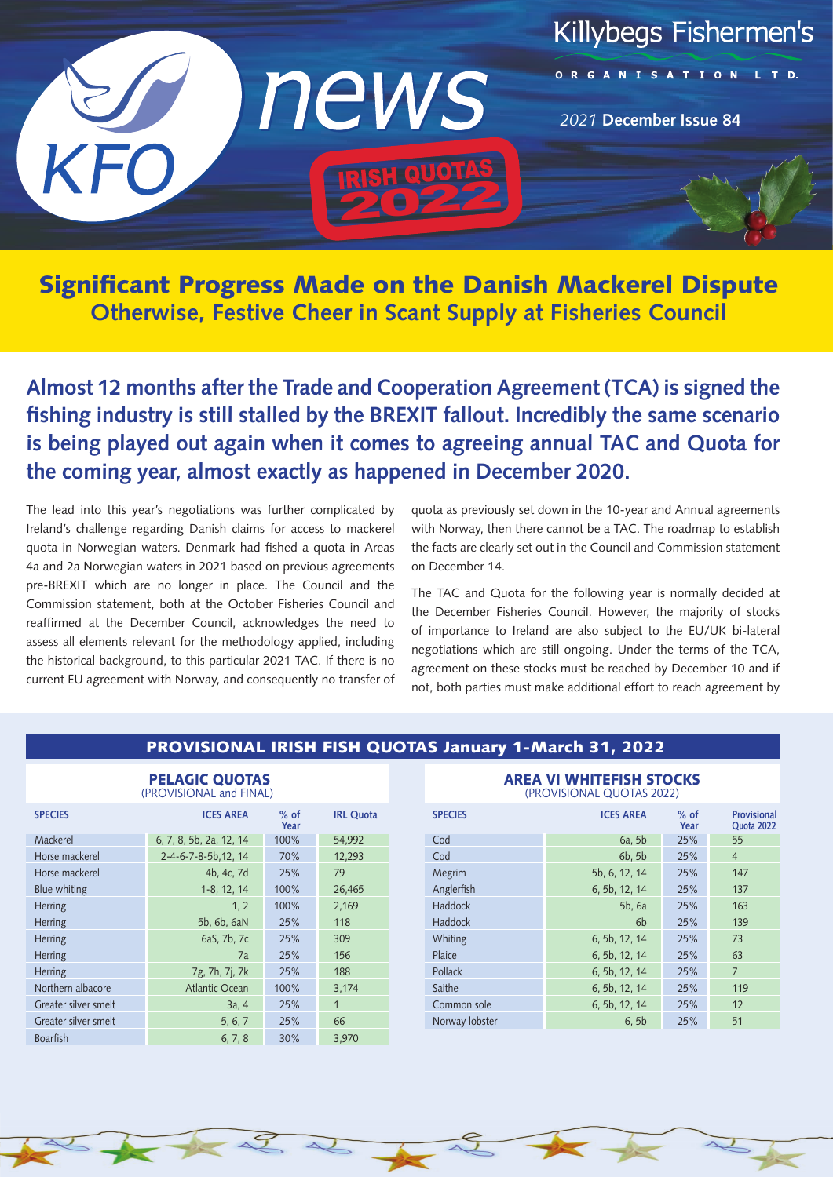

Significant Progress Made on the Danish Mackerel Dispute **Otherwise, Festive Cheer in Scant Supply at Fisheries Council**

**Almost 12 months after the Trade and Cooperation Agreement (TCA) is signed the fishing industry is still stalled by the BREXIT fallout. Incredibly the same scenario is being played out again when it comes to agreeing annual TAC and Quota for the coming year, almost exactly as happened in December 2020.** 

The lead into this year's negotiations was further complicated by Ireland's challenge regarding Danish claims for access to mackerel quota in Norwegian waters. Denmark had fished a quota in Areas 4a and 2a Norwegian waters in 2021 based on previous agreements pre-BREXIT which are no longer in place. The Council and the Commission statement, both at the October Fisheries Council and reaffirmed at the December Council, acknowledges the need to assess all elements relevant for the methodology applied, including the historical background, to this particular 2021 TAC. If there is no current EU agreement with Norway, and consequently no transfer of quota as previously set down in the 10-year and Annual agreements with Norway, then there cannot be a TAC. The roadmap to establish the facts are clearly set out in the Council and Commission statement on December 14.

The TAC and Quota for the following year is normally decided at the December Fisheries Council. However, the majority of stocks of importance to Ireland are also subject to the EU/UK bi-lateral negotiations which are still ongoing. Under the terms of the TCA, agreement on these stocks must be reached by December 10 and if not, both parties must make additional effort to reach agreement by

## PROVISIONAL IRISH FISH QUOTAS January 1-March 31, 2022

| <b>PELAGIC QUOTAS</b><br>(PROVISIONAL and FINAL) |                         |                |                  |
|--------------------------------------------------|-------------------------|----------------|------------------|
| <b>SPECIES</b>                                   | <b>ICES AREA</b>        | $%$ of<br>Year | <b>IRL Quota</b> |
| Mackerel                                         | 6, 7, 8, 5b, 2a, 12, 14 | 100%           | 54,992           |
| Horse mackerel                                   | 2-4-6-7-8-5b, 12, 14    | 70%            | 12,293           |
| Horse mackere                                    | 4b, 4c, 7d              | 25%            | 79               |
| Blue whiting                                     | 1-8, 12, 14             | 100%           | 26,465           |
| <b>Herring</b>                                   | 1, 2                    | 100%           | 2,169            |
| <b>Herring</b>                                   | 5b, 6b, 6aN             | 25%            | 118              |
| <b>Herring</b>                                   | 6aS, 7b, 7c             | 25%            | 309              |
| <b>Herring</b>                                   | 7a                      | 25%            | 156              |
| <b>Herring</b>                                   | 7g, 7h, 7j, 7k          | 25%            | 188              |
| Northern albacore                                | <b>Atlantic Ocean</b>   | 100%           | 3,174            |
| Greater silver smelt                             | 3a, 4                   | 25%            | $\mathbf{1}$     |
| Greater silver smelt                             | 5, 6, 7                 | 25%            | 66               |
| <b>Boarfish</b>                                  | 6, 7, 8                 | 30%            | 3,970            |

## AREA VI WHITEFISH STOCKS

(PROVISIONAL QUOTAS 2022)

| <b>SPECIES</b> | <b>ICES AREA</b> | $%$ of<br>Year | Provisional<br>Quota 2022 |
|----------------|------------------|----------------|---------------------------|
| Cod            | 6a, 5b           | 25%            | 55                        |
| Cod            | 6b, 5b           | 25%            | $\overline{4}$            |
| Megrim         | 5b, 6, 12, 14    | 25%            | 147                       |
| Anglerfish     | 6, 5b, 12, 14    | 25%            | 137                       |
| Haddock        | 5b, 6a           | 25%            | 163                       |
| Haddock        | 6 <sub>b</sub>   | 25%            | 139                       |
| Whiting        | 6, 5b, 12, 14    | 25%            | 73                        |
| Plaice         | 6, 5b, 12, 14    | 25%            | 63                        |
| Pollack        | 6, 5b, 12, 14    | 25%            | $\overline{7}$            |
| Saithe         | 6, 5b, 12, 14    | 25%            | 119                       |
| Common sole    | 6, 5b, 12, 14    | 25%            | 12                        |
| Norway lobster | 6, 5b            | 25%            | 51                        |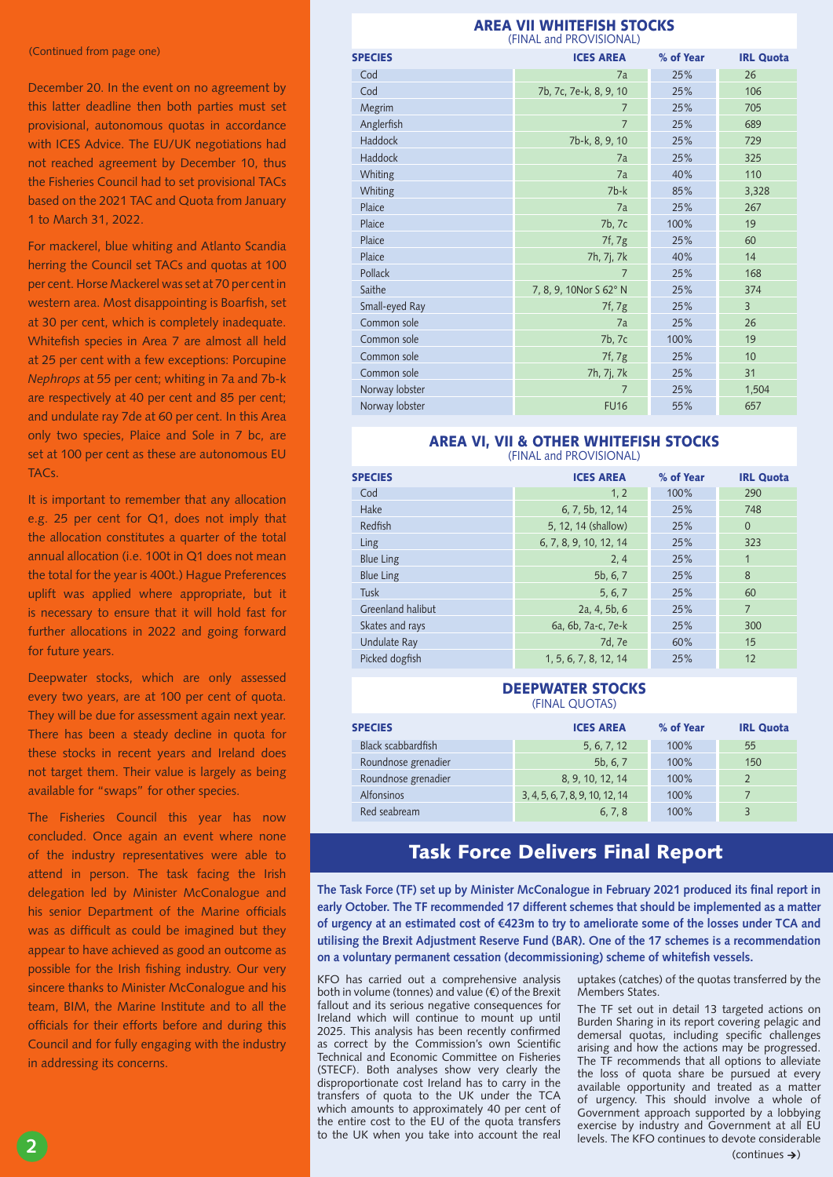(Continued from page one)

December 20. In the event on no agreement by this latter deadline then both parties must set provisional, autonomous quotas in accordance with ICES Advice. The EU/UK negotiations had not reached agreement by December 10, thus the Fisheries Council had to set provisional TACs based on the 2021 TAC and Quota from January 1 to March 31, 2022.

For mackerel, blue whiting and Atlanto Scandia herring the Council set TACs and quotas at 100 per cent. Horse Mackerel was set at 70 per cent in western area. Most disappointing is Boarfish, set at 30 per cent, which is completely inadequate. Whitefish species in Area 7 are almost all held at 25 per cent with a few exceptions: Porcupine *Nephrops* at 55 per cent; whiting in 7a and 7b-k are respectively at 40 per cent and 85 per cent; and undulate ray 7de at 60 per cent. In this Area only two species, Plaice and Sole in 7 bc, are set at 100 per cent as these are autonomous EU TACs.

It is important to remember that any allocation e.g. 25 per cent for Q1, does not imply that the allocation constitutes a quarter of the total annual allocation (i.e. 100t in Q1 does not mean the total for the year is 400t.) Hague Preferences uplift was applied where appropriate, but it is necessary to ensure that it will hold fast for further allocations in 2022 and going forward for future years.

Deepwater stocks, which are only assessed every two years, are at 100 per cent of quota. They will be due for assessment again next year. There has been a steady decline in quota for these stocks in recent years and Ireland does not target them. Their value is largely as being available for "swaps" for other species.

The Fisheries Council this year has now concluded. Once again an event where none of the industry representatives were able to attend in person. The task facing the Irish delegation led by Minister McConalogue and his senior Department of the Marine officials was as difficult as could be imagined but they appear to have achieved as good an outcome as possible for the Irish fishing industry. Our very sincere thanks to Minister McConalogue and his team, BIM, the Marine Institute and to all the officials for their efforts before and during this Council and for fully engaging with the industry in addressing its concerns.

#### AREA VII WHITEFISH STOCKS (FINAL and PROVISIONAL)

| <b>SPECIES</b> | <b>ICES AREA</b>       | % of Year | <b>IRL Quota</b> |
|----------------|------------------------|-----------|------------------|
| Cod            | 7a                     | 25%       | 26               |
| Cod            | 7b, 7c, 7e-k, 8, 9, 10 | 25%       | 106              |
| Megrim         | $\overline{7}$         | 25%       | 705              |
| Anglerfish     | $\overline{7}$         | 25%       | 689              |
| Haddock        | 7b-k, 8, 9, 10         | 25%       | 729              |
| Haddock        | 7a                     | 25%       | 325              |
| Whiting        | 7a                     | 40%       | 110              |
| Whiting        | $7b-k$                 | 85%       | 3,328            |
| Plaice         | 7a                     | 25%       | 267              |
| Plaice         | 7b, 7c                 | 100%      | 19               |
| Plaice         | 7f, 7g                 | 25%       | 60               |
| Plaice         | 7h, 7j, 7k             | 40%       | 14               |
| Pollack        | 7                      | 25%       | 168              |
| Saithe         | 7, 8, 9, 10Nor S 62° N | 25%       | 374              |
| Small-eyed Ray | 7f, 7g                 | 25%       | $\overline{3}$   |
| Common sole    | 7a                     | 25%       | 26               |
| Common sole    | 7b, 7c                 | 100%      | 19               |
| Common sole    | 7f, 7g                 | 25%       | 10               |
| Common sole    | 7h, 7j, 7k             | 25%       | 31               |
| Norway lobster | 7                      | 25%       | 1,504            |
| Norway lobster | <b>FU16</b>            | 55%       | 657              |

#### AREA VI, VII & OTHER WHITEFISH STOCKS (FINAL and PROVISIONAL)

| <b>SPECIES</b>      | <b>ICES AREA</b>       | % of Year | <b>IRL Quota</b> |
|---------------------|------------------------|-----------|------------------|
| Cod                 | 1, 2                   | 100%      | 290              |
| Hake                | 6, 7, 5b, 12, 14       | 25%       | 748              |
| Redfish             | 5, 12, 14 (shallow)    | 25%       | $\Omega$         |
| Ling                | 6, 7, 8, 9, 10, 12, 14 | 25%       | 323              |
| <b>Blue Ling</b>    | 2, 4                   | 25%       | $\overline{1}$   |
| <b>Blue Ling</b>    | 5b, 6, 7               | 25%       | 8                |
| <b>Tusk</b>         | 5, 6, 7                | 25%       | 60               |
| Greenland halibut   | 2a, 4, 5b, 6           | 25%       | $\overline{7}$   |
| Skates and rays     | 6a, 6b, 7a-c, 7e-k     | 25%       | 300              |
| <b>Undulate Ray</b> | 7d. 7e                 | 60%       | 15               |
| Picked dogfish      | 1, 5, 6, 7, 8, 12, 14  | 25%       | 12               |

#### DEEPWATER STOCKS (FINAL QUOTAS)

| <b>SPECIES</b>      | <b>ICES AREA</b>                | % of Year | <b>IRL Quota</b>        |
|---------------------|---------------------------------|-----------|-------------------------|
| Black scabbardfish  | 5, 6, 7, 12                     | $100\%$   | 55                      |
| Roundnose grenadier | 5b, 6, 7                        | $100\%$   | 150                     |
| Roundnose grenadier | 8, 9, 10, 12, 14                | $100\%$   |                         |
| Alfonsinos          | 3, 4, 5, 6, 7, 8, 9, 10, 12, 14 | 100%      |                         |
| Red seabream        | 6.7.8                           | 100%      | $\overline{\mathbf{z}}$ |

# Task Force Delivers Final Report

**The Task Force (TF) set up by Minister McConalogue in February 2021 produced its final report in early October. The TF recommended 17 different schemes that should be implemented as a matter of urgency at an estimated cost of €423m to try to ameliorate some of the losses under TCA and utilising the Brexit Adjustment Reserve Fund (BAR). One of the 17 schemes is a recommendation on a voluntary permanent cessation (decommissioning) scheme of whitefish vessels.** 

KFO has carried out a comprehensive analysis both in volume (tonnes) and value (€) of the Brexit fallout and its serious negative consequences for Ireland which will continue to mount up until 2025. This analysis has been recently confirmed as correct by the Commission's own Scientific Technical and Economic Committee on Fisheries (STECF). Both analyses show very clearly the disproportionate cost Ireland has to carry in the transfers of quota to the UK under the TCA which amounts to approximately 40 per cent of the entire cost to the EU of the quota transfers to the UK when you take into account the real uptakes (catches) of the quotas transferred by the Members States.

The TF set out in detail 13 targeted actions on Burden Sharing in its report covering pelagic and demersal quotas, including specific challenges arising and how the actions may be progressed. The TF recommends that all options to alleviate the loss of quota share be pursued at every available opportunity and treated as a matter of urgency. This should involve a whole of Government approach supported by a lobbying exercise by industry and Government at all EU levels. The KFO continues to devote considerable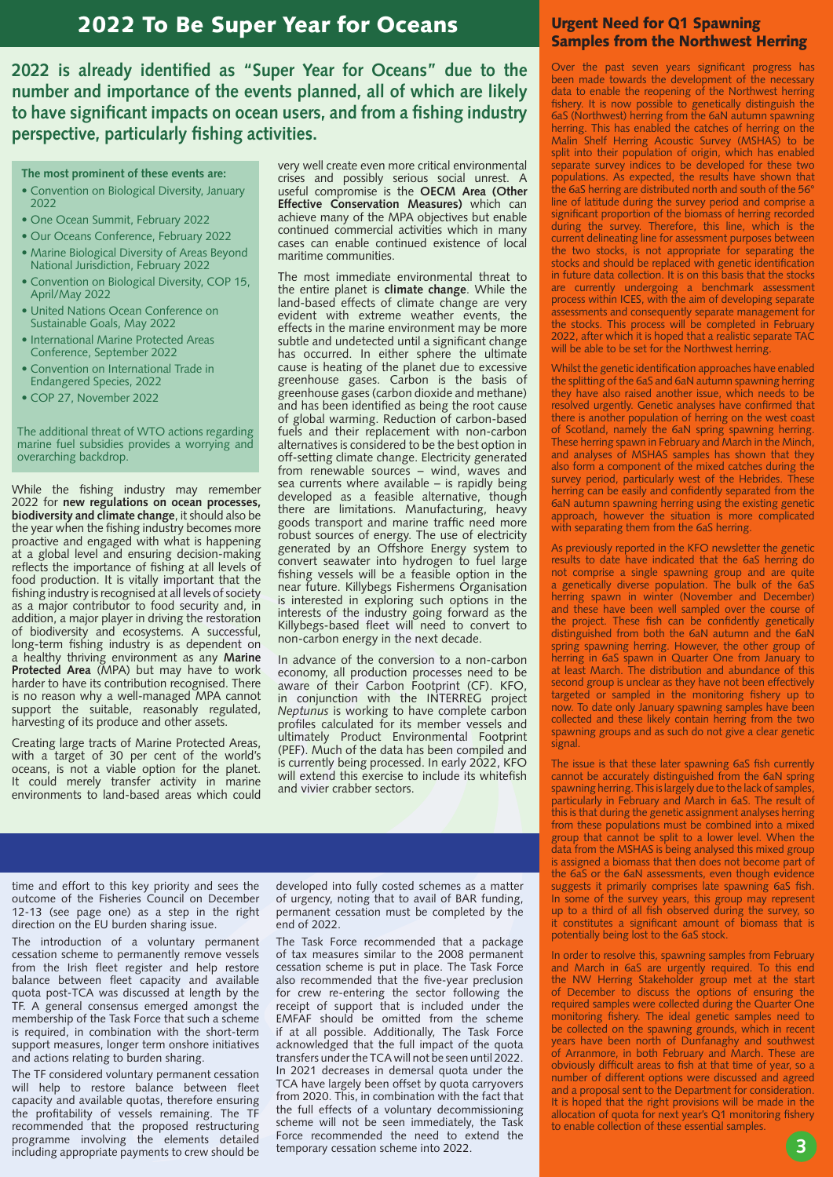## 2022 To Be Super Year for Oceans

**2022 is already identified as "Super Year for Oceans" due to the number and importance of the events planned, all of which are likely to have significant impacts on ocean users, and from a fishing industry perspective, particularly fishing activities.** 

- **The most prominent of these events are:**
- Convention on Biological Diversity, January 2022
- One Ocean Summit, February 2022
- Our Oceans Conference, February 2022
- Marine Biological Diversity of Areas Beyond National Jurisdiction, February 2022
- Convention on Biological Diversity, COP 15, April/May 2022
- United Nations Ocean Conference on Sustainable Goals, May 2022
- International Marine Protected Areas Conference, September 2022
- Convention on International Trade in Endangered Species, 2022
- COP 27, November 2022

The additional threat of WTO actions regarding marine fuel subsidies provides a worrying and overarching backdrop.

While the fishing industry may remember 2022 for **new regulations on ocean processes, biodiversity and climate change**, it should also be the year when the fishing industry becomes more proactive and engaged with what is happening at a global level and ensuring decision-making reflects the importance of fishing at all levels of food production. It is vitally important that the fishing industry is recognised at all levels of society as a major contributor to food security and, in addition, a major player in driving the restoration of biodiversity and ecosystems. A successful, long-term fishing industry is as dependent on a healthy thriving environment as any **Marine Protected Area** (MPA) but may have to work harder to have its contribution recognised. There is no reason why a well-managed MPA cannot support the suitable, reasonably regulated, harvesting of its produce and other assets.

Creating large tracts of Marine Protected Areas, with a target of 30 per cent of the world's oceans, is not a viable option for the planet. It could merely transfer activity in marine environments to land-based areas which could very well create even more critical environmental crises and possibly serious social unrest. A useful compromise is the **OECM Area (Other Effective Conservation Measures)** which can achieve many of the MPA objectives but enable continued commercial activities which in many cases can enable continued existence of local maritime communities.

The most immediate environmental threat to the entire planet is **climate change**. While the land-based effects of climate change are very evident with extreme weather events, the effects in the marine environment may be more subtle and undetected until a significant change has occurred. In either sphere the ultimate cause is heating of the planet due to excessive greenhouse gases. Carbon is the basis of greenhouse gases (carbon dioxide and methane) and has been identified as being the root cause of global warming. Reduction of carbon-based fuels and their replacement with non-carbon alternatives is considered to be the best option in off-setting climate change. Electricity generated from renewable sources – wind, waves and sea currents where available – is rapidly being developed as a feasible alternative, though there are limitations. Manufacturing, heavy goods transport and marine traffic need more robust sources of energy. The use of electricity generated by an Offshore Energy system to convert seawater into hydrogen to fuel large fishing vessels will be a feasible option in the near future. Killybegs Fishermens Organisation is interested in exploring such options in the interests of the industry going forward as the Killybegs-based fleet will need to convert to non-carbon energy in the next decade.

In advance of the conversion to a non-carbon economy, all production processes need to be aware of their Carbon Footprint (CF). KFO, in conjunction with the INTERREG project *Neptunus* is working to have complete carbon profiles calculated for its member vessels and ultimately Product Environmental Footprint (PEF). Much of the data has been compiled and is currently being processed. In early 2022, KFO will extend this exercise to include its whitefish and vivier crabber sectors.

time and effort to this key priority and sees the outcome of the Fisheries Council on December 12-13 (see page one) as a step in the right direction on the EU burden sharing issue.

The introduction of a voluntary permanent cessation scheme to permanently remove vessels from the Irish fleet register and help restore balance between fleet capacity and available quota post-TCA was discussed at length by the TF. A general consensus emerged amongst the membership of the Task Force that such a scheme is required, in combination with the short-term support measures, longer term onshore initiatives and actions relating to burden sharing.

The TF considered voluntary permanent cessation will help to restore balance between fleet capacity and available quotas, therefore ensuring the profitability of vessels remaining. The TF recommended that the proposed restructuring programme involving the elements detailed including appropriate payments to crew should be

developed into fully costed schemes as a matter of urgency, noting that to avail of BAR funding, permanent cessation must be completed by the end of 2022.

The Task Force recommended that a package of tax measures similar to the 2008 permanent cessation scheme is put in place. The Task Force also recommended that the five-year preclusion for crew re-entering the sector following the receipt of support that is included under the EMFAF should be omitted from the scheme if at all possible. Additionally, The Task Force acknowledged that the full impact of the quota transfers under the TCA will not be seen until 2022. In 2021 decreases in demersal quota under the TCA have largely been offset by quota carryovers from 2020. This, in combination with the fact that the full effects of a voluntary decommissioning scheme will not be seen immediately, the Task Force recommended the need to extend the temporary cessation scheme into 2022.

### Urgent Need for Q1 Spawning Samples from the Northwest Herring

Over the past seven years significant progress has been made towards the development of the necessary data to enable the reopening of the Northwest herring fishery. It is now possible to genetically distinguish the 6aS (Northwest) herring from the 6aN autumn spawning herring. This has enabled the catches of herring on the Malin Shelf Herring Acoustic Survey (MSHAS) to be split into their population of origin, which has enabled separate survey indices to be developed for these two populations. As expected, the results have shown that the 6aS herring are distributed north and south of the 56° line of latitude during the survey period and comprise a significant proportion of the biomass of herring recorded during the survey. Therefore, this line, which is the current delineating line for assessment purposes between the two stocks, is not appropriate for separating the stocks and should be replaced with genetic identification in future data collection. It is on this basis that the stocks are currently undergoing a benchmark assessment process within ICES, with the aim of developing separate assessments and consequently separate management for the stocks. This process will be completed in February 2022, after which it is hoped that a realistic separate TAC will be able to be set for the Northwest herring.

Whilst the genetic identification approaches have enabled the splitting of the 6aS and 6aN autumn spawning herring they have also raised another issue, which needs to be resolved urgently. Genetic analyses have confirmed that there is another population of herring on the west coast of Scotland, namely the 6aN spring spawning herring. These herring spawn in February and March in the Minch, and analyses of MSHAS samples has shown that they also form a component of the mixed catches during the survey period, particularly west of the Hebrides. These herring can be easily and confidently separated from the 6aN autumn spawning herring using the existing genetic approach, however the situation is more complicated with separating them from the 6aS herring.

As previously reported in the KFO newsletter the genetic results to date have indicated that the 6aS herring do not comprise a single spawning group and are quite a genetically diverse population. The bulk of the 6aS herring spawn in winter (November and December) and these have been well sampled over the course of the project. These fish can be confidently genetically distinguished from both the 6aN autumn and the 6aN spring spawning herring. However, the other group of herring in 6aS spawn in Quarter One from January to at least March. The distribution and abundance of this second group is unclear as they have not been effectively targeted or sampled in the monitoring fishery up to now. To date only January spawning samples have been collected and these likely contain herring from the two spawning groups and as such do not give a clear genetic signal.

The issue is that these later spawning 6aS fish currently cannot be accurately distinguished from the 6aN spring spawning herring. This is largely due to the lack of samples, particularly in February and March in 6aS. The result of this is that during the genetic assignment analyses herring from these populations must be combined into a mixed group that cannot be split to a lower level. When the data from the MSHAS is being analysed this mixed group is assigned a biomass that then does not become part of the 6aS or the 6aN assessments, even though evidence suggests it primarily comprises late spawning 6aS fish. In some of the survey years, this group may represent up to a third of all fish observed during the survey, so it constitutes a significant amount of biomass that is potentially being lost to the 6aS stock.

In order to resolve this, spawning samples from February and March in 6aS are urgently required. To this end the NW Herring Stakeholder group met at the start of December to discuss the options of ensuring the required samples were collected during the Quarter One monitoring fishery. The ideal genetic samples need to be collected on the spawning grounds, which in recent years have been north of Dunfanaghy and southwest of Arranmore, in both February and March. These are obviously difficult areas to fish at that time of year, so a number of different options were discussed and agreed and a proposal sent to the Department for consideration. It is hoped that the right provisions will be made in the allocation of quota for next year's Q1 monitoring fishery to enable collection of these essential samples.

**3**